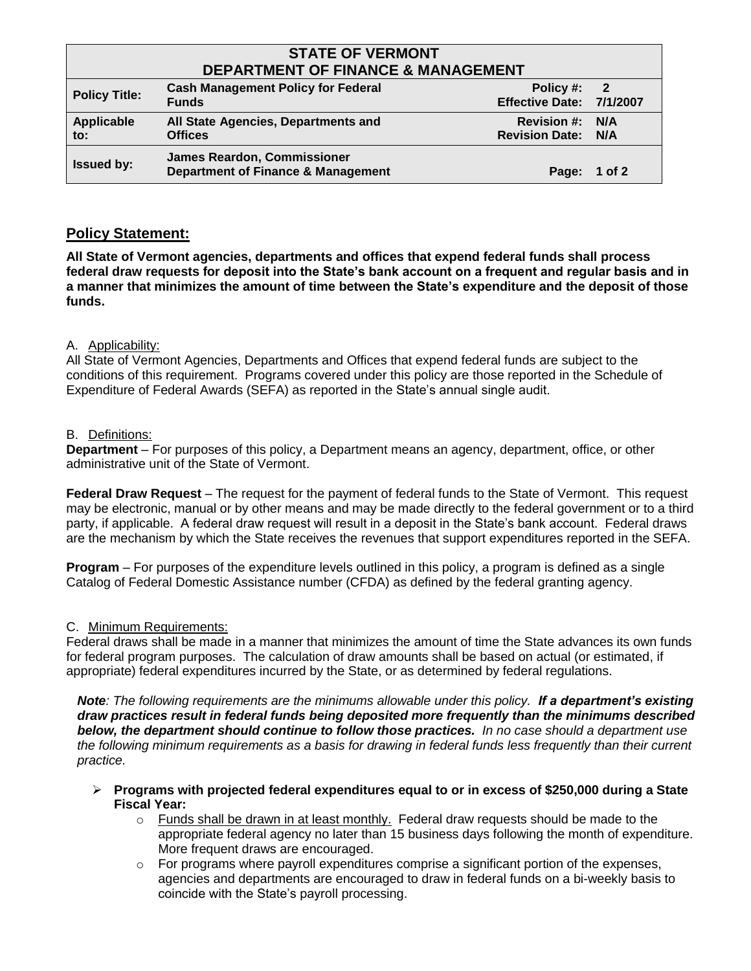# **STATE OF VERMONT DEPARTMENT OF FINANCE & MANAGEMENT**

| PLI ANTIJILINI VI TINANJE & IJIANAVENIEN I |                                                                                     |                                                     |              |  |
|--------------------------------------------|-------------------------------------------------------------------------------------|-----------------------------------------------------|--------------|--|
| <b>Policy Title:</b>                       | <b>Cash Management Policy for Federal</b><br><b>Funds</b>                           | Policy #: $2$<br>Effective Date: 7/1/2007           |              |  |
| Applicable<br>to:                          | All State Agencies, Departments and<br><b>Offices</b>                               | <b>Revision #: N/A</b><br><b>Revision Date: N/A</b> |              |  |
| <b>Issued by:</b>                          | <b>James Reardon, Commissioner</b><br><b>Department of Finance &amp; Management</b> |                                                     | Page: 1 of 2 |  |

## **Policy Statement:**

**All State of Vermont agencies, departments and offices that expend federal funds shall process federal draw requests for deposit into the State's bank account on a frequent and regular basis and in a manner that minimizes the amount of time between the State's expenditure and the deposit of those funds.**

## A. Applicability:

All State of Vermont Agencies, Departments and Offices that expend federal funds are subject to the conditions of this requirement. Programs covered under this policy are those reported in the Schedule of Expenditure of Federal Awards (SEFA) as reported in the State's annual single audit.

### B. Definitions:

**Department** – For purposes of this policy, a Department means an agency, department, office, or other administrative unit of the State of Vermont.

**Federal Draw Request** – The request for the payment of federal funds to the State of Vermont. This request may be electronic, manual or by other means and may be made directly to the federal government or to a third party, if applicable. A federal draw request will result in a deposit in the State's bank account. Federal draws are the mechanism by which the State receives the revenues that support expenditures reported in the SEFA.

**Program** – For purposes of the expenditure levels outlined in this policy, a program is defined as a single Catalog of Federal Domestic Assistance number (CFDA) as defined by the federal granting agency.

### C. Minimum Requirements:

Federal draws shall be made in a manner that minimizes the amount of time the State advances its own funds for federal program purposes. The calculation of draw amounts shall be based on actual (or estimated, if appropriate) federal expenditures incurred by the State, or as determined by federal regulations.

*Note: The following requirements are the minimums allowable under this policy. If a department's existing draw practices result in federal funds being deposited more frequently than the minimums described below, the department should continue to follow those practices. In no case should a department use the following minimum requirements as a basis for drawing in federal funds less frequently than their current practice.*

- **Programs with projected federal expenditures equal to or in excess of \$250,000 during a State Fiscal Year:**
	- $\circ$  Funds shall be drawn in at least monthly. Federal draw requests should be made to the appropriate federal agency no later than 15 business days following the month of expenditure. More frequent draws are encouraged.
	- o For programs where payroll expenditures comprise a significant portion of the expenses, agencies and departments are encouraged to draw in federal funds on a bi-weekly basis to coincide with the State's payroll processing.